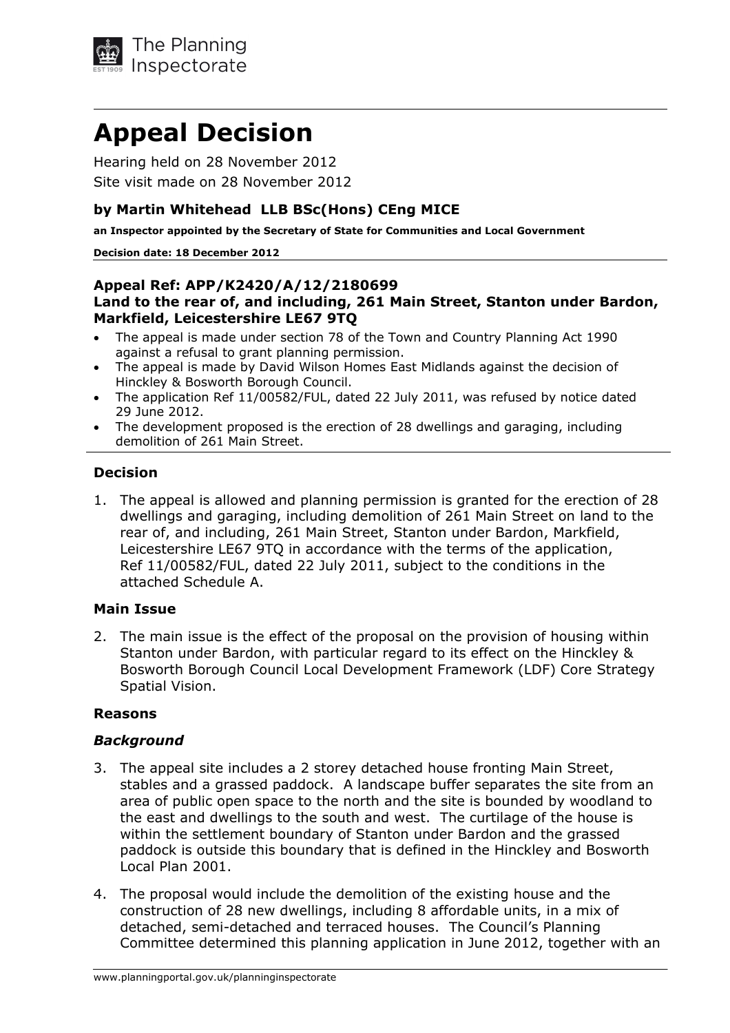

# **Appeal Decision**

Hearing held on 28 November 2012 Site visit made on 28 November 2012

### **by Martin Whitehead LLB BSc(Hons) CEng MICE**

**an Inspector appointed by the Secretary of State for Communities and Local Government** 

#### **Decision date: 18 December 2012**

#### **Appeal Ref: APP/K2420/A/12/2180699 Land to the rear of, and including, 261 Main Street, Stanton under Bardon, Markfield, Leicestershire LE67 9TQ**

- The appeal is made under section 78 of the Town and Country Planning Act 1990 against a refusal to grant planning permission.
- The appeal is made by David Wilson Homes East Midlands against the decision of Hinckley & Bosworth Borough Council.
- The application Ref 11/00582/FUL, dated 22 July 2011, was refused by notice dated 29 June 2012.
- The development proposed is the erection of 28 dwellings and garaging, including demolition of 261 Main Street.

#### **Decision**

1. The appeal is allowed and planning permission is granted for the erection of 28 dwellings and garaging, including demolition of 261 Main Street on land to the rear of, and including, 261 Main Street, Stanton under Bardon, Markfield, Leicestershire LE67 9TQ in accordance with the terms of the application, Ref 11/00582/FUL, dated 22 July 2011, subject to the conditions in the attached Schedule A.

#### **Main Issue**

2. The main issue is the effect of the proposal on the provision of housing within Stanton under Bardon, with particular regard to its effect on the Hinckley & Bosworth Borough Council Local Development Framework (LDF) Core Strategy Spatial Vision.

#### **Reasons**

#### *Background*

- 3. The appeal site includes a 2 storey detached house fronting Main Street, stables and a grassed paddock. A landscape buffer separates the site from an area of public open space to the north and the site is bounded by woodland to the east and dwellings to the south and west. The curtilage of the house is within the settlement boundary of Stanton under Bardon and the grassed paddock is outside this boundary that is defined in the Hinckley and Bosworth Local Plan 2001.
- 4. The proposal would include the demolition of the existing house and the construction of 28 new dwellings, including 8 affordable units, in a mix of detached, semi-detached and terraced houses. The Council's Planning Committee determined this planning application in June 2012, together with an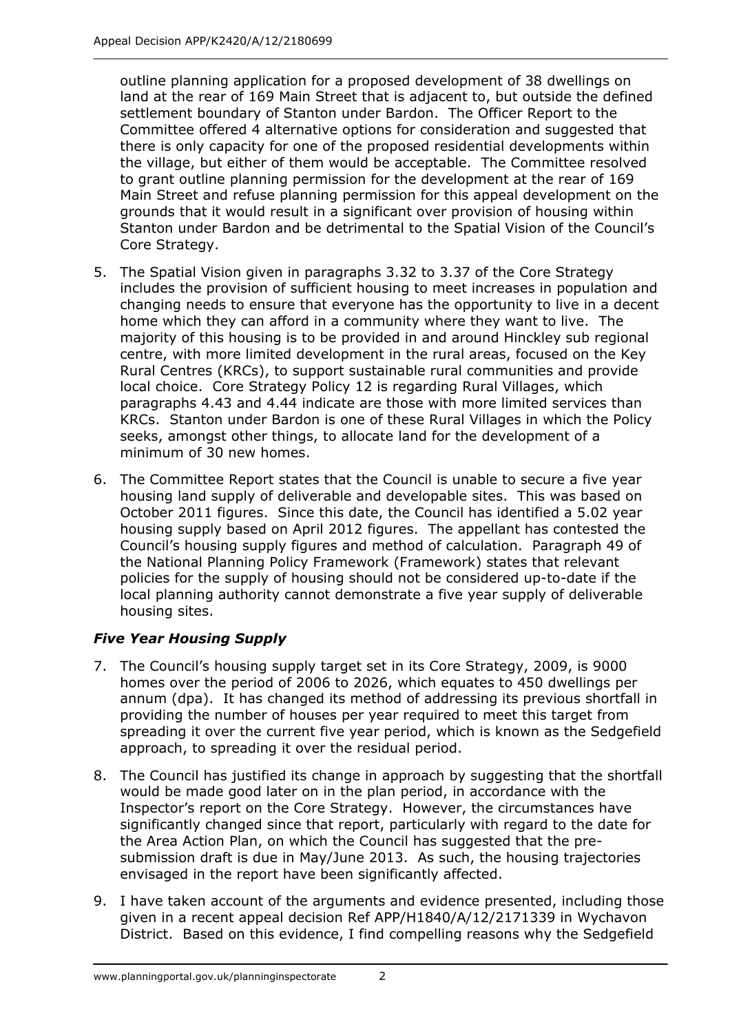outline planning application for a proposed development of 38 dwellings on land at the rear of 169 Main Street that is adjacent to, but outside the defined settlement boundary of Stanton under Bardon. The Officer Report to the Committee offered 4 alternative options for consideration and suggested that there is only capacity for one of the proposed residential developments within the village, but either of them would be acceptable. The Committee resolved to grant outline planning permission for the development at the rear of 169 Main Street and refuse planning permission for this appeal development on the grounds that it would result in a significant over provision of housing within Stanton under Bardon and be detrimental to the Spatial Vision of the Council's Core Strategy.

- 5. The Spatial Vision given in paragraphs 3.32 to 3.37 of the Core Strategy includes the provision of sufficient housing to meet increases in population and changing needs to ensure that everyone has the opportunity to live in a decent home which they can afford in a community where they want to live. The majority of this housing is to be provided in and around Hinckley sub regional centre, with more limited development in the rural areas, focused on the Key Rural Centres (KRCs), to support sustainable rural communities and provide local choice. Core Strategy Policy 12 is regarding Rural Villages, which paragraphs 4.43 and 4.44 indicate are those with more limited services than KRCs. Stanton under Bardon is one of these Rural Villages in which the Policy seeks, amongst other things, to allocate land for the development of a minimum of 30 new homes.
- 6. The Committee Report states that the Council is unable to secure a five year housing land supply of deliverable and developable sites. This was based on October 2011 figures. Since this date, the Council has identified a 5.02 year housing supply based on April 2012 figures. The appellant has contested the Council's housing supply figures and method of calculation. Paragraph 49 of the National Planning Policy Framework (Framework) states that relevant policies for the supply of housing should not be considered up-to-date if the local planning authority cannot demonstrate a five year supply of deliverable housing sites.

### *Five Year Housing Supply*

- 7. The Council's housing supply target set in its Core Strategy, 2009, is 9000 homes over the period of 2006 to 2026, which equates to 450 dwellings per annum (dpa). It has changed its method of addressing its previous shortfall in providing the number of houses per year required to meet this target from spreading it over the current five year period, which is known as the Sedgefield approach, to spreading it over the residual period.
- 8. The Council has justified its change in approach by suggesting that the shortfall would be made good later on in the plan period, in accordance with the Inspector's report on the Core Strategy. However, the circumstances have significantly changed since that report, particularly with regard to the date for the Area Action Plan, on which the Council has suggested that the presubmission draft is due in May/June 2013. As such, the housing trajectories envisaged in the report have been significantly affected.
- 9. I have taken account of the arguments and evidence presented, including those given in a recent appeal decision Ref APP/H1840/A/12/2171339 in Wychavon District. Based on this evidence, I find compelling reasons why the Sedgefield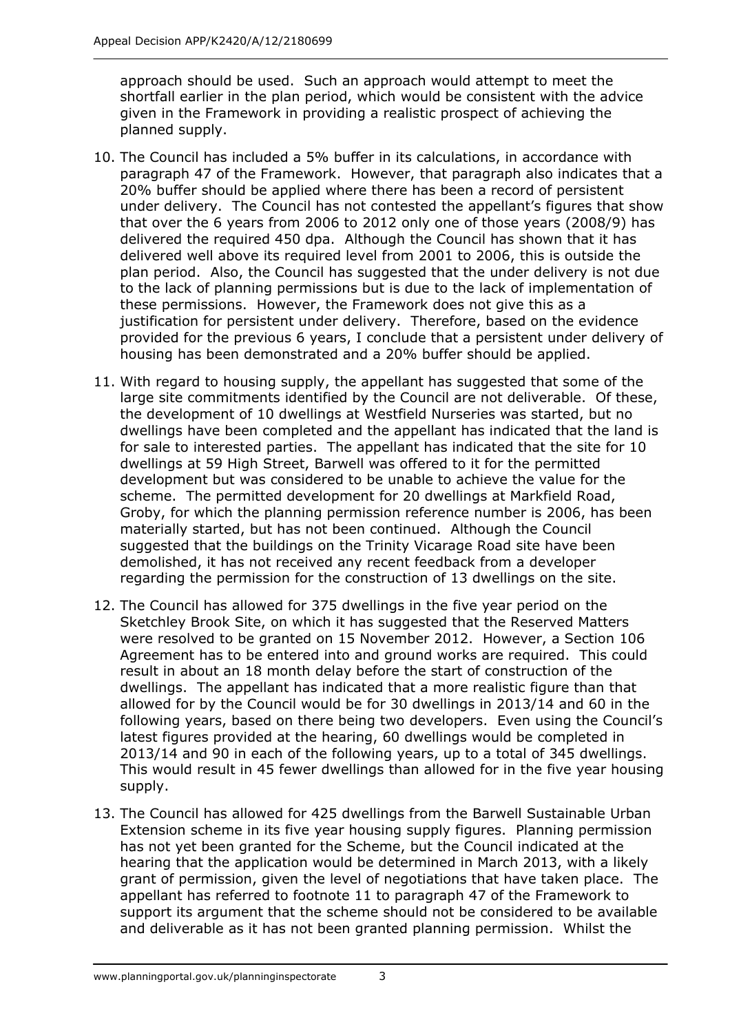approach should be used. Such an approach would attempt to meet the shortfall earlier in the plan period, which would be consistent with the advice given in the Framework in providing a realistic prospect of achieving the planned supply.

- 10. The Council has included a 5% buffer in its calculations, in accordance with paragraph 47 of the Framework. However, that paragraph also indicates that a 20% buffer should be applied where there has been a record of persistent under delivery. The Council has not contested the appellant's figures that show that over the 6 years from 2006 to 2012 only one of those years (2008/9) has delivered the required 450 dpa. Although the Council has shown that it has delivered well above its required level from 2001 to 2006, this is outside the plan period. Also, the Council has suggested that the under delivery is not due to the lack of planning permissions but is due to the lack of implementation of these permissions. However, the Framework does not give this as a justification for persistent under delivery. Therefore, based on the evidence provided for the previous 6 years, I conclude that a persistent under delivery of housing has been demonstrated and a 20% buffer should be applied.
- 11. With regard to housing supply, the appellant has suggested that some of the large site commitments identified by the Council are not deliverable. Of these, the development of 10 dwellings at Westfield Nurseries was started, but no dwellings have been completed and the appellant has indicated that the land is for sale to interested parties. The appellant has indicated that the site for 10 dwellings at 59 High Street, Barwell was offered to it for the permitted development but was considered to be unable to achieve the value for the scheme. The permitted development for 20 dwellings at Markfield Road, Groby, for which the planning permission reference number is 2006, has been materially started, but has not been continued. Although the Council suggested that the buildings on the Trinity Vicarage Road site have been demolished, it has not received any recent feedback from a developer regarding the permission for the construction of 13 dwellings on the site.
- 12. The Council has allowed for 375 dwellings in the five year period on the Sketchley Brook Site, on which it has suggested that the Reserved Matters were resolved to be granted on 15 November 2012. However, a Section 106 Agreement has to be entered into and ground works are required. This could result in about an 18 month delay before the start of construction of the dwellings. The appellant has indicated that a more realistic figure than that allowed for by the Council would be for 30 dwellings in 2013/14 and 60 in the following years, based on there being two developers. Even using the Council's latest figures provided at the hearing, 60 dwellings would be completed in 2013/14 and 90 in each of the following years, up to a total of 345 dwellings. This would result in 45 fewer dwellings than allowed for in the five year housing supply.
- 13. The Council has allowed for 425 dwellings from the Barwell Sustainable Urban Extension scheme in its five year housing supply figures. Planning permission has not yet been granted for the Scheme, but the Council indicated at the hearing that the application would be determined in March 2013, with a likely grant of permission, given the level of negotiations that have taken place. The appellant has referred to footnote 11 to paragraph 47 of the Framework to support its argument that the scheme should not be considered to be available and deliverable as it has not been granted planning permission. Whilst the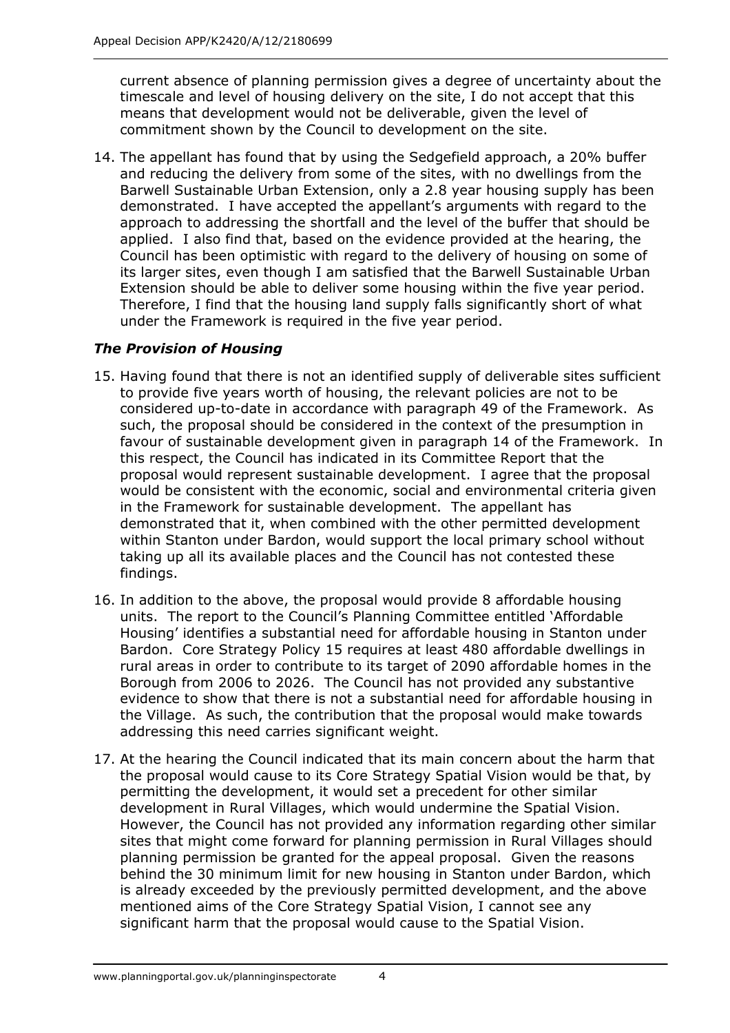current absence of planning permission gives a degree of uncertainty about the timescale and level of housing delivery on the site, I do not accept that this means that development would not be deliverable, given the level of commitment shown by the Council to development on the site.

14. The appellant has found that by using the Sedgefield approach, a 20% buffer and reducing the delivery from some of the sites, with no dwellings from the Barwell Sustainable Urban Extension, only a 2.8 year housing supply has been demonstrated. I have accepted the appellant's arguments with regard to the approach to addressing the shortfall and the level of the buffer that should be applied. I also find that, based on the evidence provided at the hearing, the Council has been optimistic with regard to the delivery of housing on some of its larger sites, even though I am satisfied that the Barwell Sustainable Urban Extension should be able to deliver some housing within the five year period. Therefore, I find that the housing land supply falls significantly short of what under the Framework is required in the five year period.

### *The Provision of Housing*

- 15. Having found that there is not an identified supply of deliverable sites sufficient to provide five years worth of housing, the relevant policies are not to be considered up-to-date in accordance with paragraph 49 of the Framework. As such, the proposal should be considered in the context of the presumption in favour of sustainable development given in paragraph 14 of the Framework. In this respect, the Council has indicated in its Committee Report that the proposal would represent sustainable development. I agree that the proposal would be consistent with the economic, social and environmental criteria given in the Framework for sustainable development. The appellant has demonstrated that it, when combined with the other permitted development within Stanton under Bardon, would support the local primary school without taking up all its available places and the Council has not contested these findings.
- 16. In addition to the above, the proposal would provide 8 affordable housing units. The report to the Council's Planning Committee entitled 'Affordable Housing' identifies a substantial need for affordable housing in Stanton under Bardon. Core Strategy Policy 15 requires at least 480 affordable dwellings in rural areas in order to contribute to its target of 2090 affordable homes in the Borough from 2006 to 2026. The Council has not provided any substantive evidence to show that there is not a substantial need for affordable housing in the Village. As such, the contribution that the proposal would make towards addressing this need carries significant weight.
- 17. At the hearing the Council indicated that its main concern about the harm that the proposal would cause to its Core Strategy Spatial Vision would be that, by permitting the development, it would set a precedent for other similar development in Rural Villages, which would undermine the Spatial Vision. However, the Council has not provided any information regarding other similar sites that might come forward for planning permission in Rural Villages should planning permission be granted for the appeal proposal. Given the reasons behind the 30 minimum limit for new housing in Stanton under Bardon, which is already exceeded by the previously permitted development, and the above mentioned aims of the Core Strategy Spatial Vision, I cannot see any significant harm that the proposal would cause to the Spatial Vision.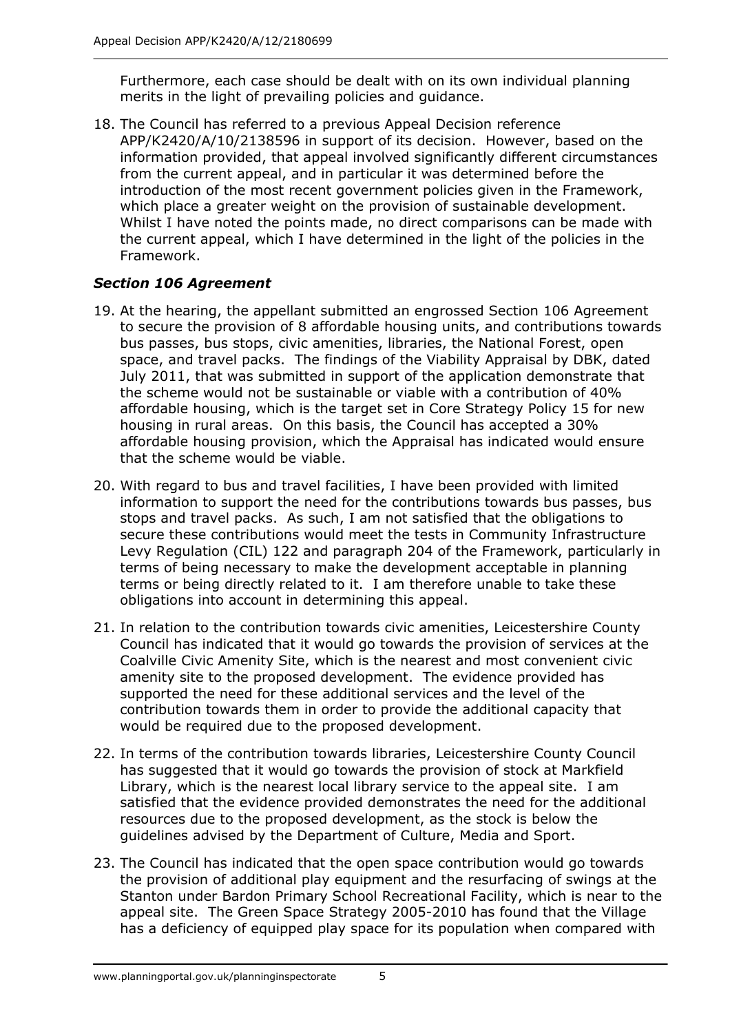Furthermore, each case should be dealt with on its own individual planning merits in the light of prevailing policies and guidance.

18. The Council has referred to a previous Appeal Decision reference APP/K2420/A/10/2138596 in support of its decision. However, based on the information provided, that appeal involved significantly different circumstances from the current appeal, and in particular it was determined before the introduction of the most recent government policies given in the Framework, which place a greater weight on the provision of sustainable development. Whilst I have noted the points made, no direct comparisons can be made with the current appeal, which I have determined in the light of the policies in the Framework.

### *Section 106 Agreement*

- 19. At the hearing, the appellant submitted an engrossed Section 106 Agreement to secure the provision of 8 affordable housing units, and contributions towards bus passes, bus stops, civic amenities, libraries, the National Forest, open space, and travel packs. The findings of the Viability Appraisal by DBK, dated July 2011, that was submitted in support of the application demonstrate that the scheme would not be sustainable or viable with a contribution of 40% affordable housing, which is the target set in Core Strategy Policy 15 for new housing in rural areas. On this basis, the Council has accepted a 30% affordable housing provision, which the Appraisal has indicated would ensure that the scheme would be viable.
- 20. With regard to bus and travel facilities, I have been provided with limited information to support the need for the contributions towards bus passes, bus stops and travel packs. As such, I am not satisfied that the obligations to secure these contributions would meet the tests in Community Infrastructure Levy Regulation (CIL) 122 and paragraph 204 of the Framework, particularly in terms of being necessary to make the development acceptable in planning terms or being directly related to it. I am therefore unable to take these obligations into account in determining this appeal.
- 21. In relation to the contribution towards civic amenities, Leicestershire County Council has indicated that it would go towards the provision of services at the Coalville Civic Amenity Site, which is the nearest and most convenient civic amenity site to the proposed development. The evidence provided has supported the need for these additional services and the level of the contribution towards them in order to provide the additional capacity that would be required due to the proposed development.
- 22. In terms of the contribution towards libraries, Leicestershire County Council has suggested that it would go towards the provision of stock at Markfield Library, which is the nearest local library service to the appeal site. I am satisfied that the evidence provided demonstrates the need for the additional resources due to the proposed development, as the stock is below the guidelines advised by the Department of Culture, Media and Sport.
- 23. The Council has indicated that the open space contribution would go towards the provision of additional play equipment and the resurfacing of swings at the Stanton under Bardon Primary School Recreational Facility, which is near to the appeal site. The Green Space Strategy 2005-2010 has found that the Village has a deficiency of equipped play space for its population when compared with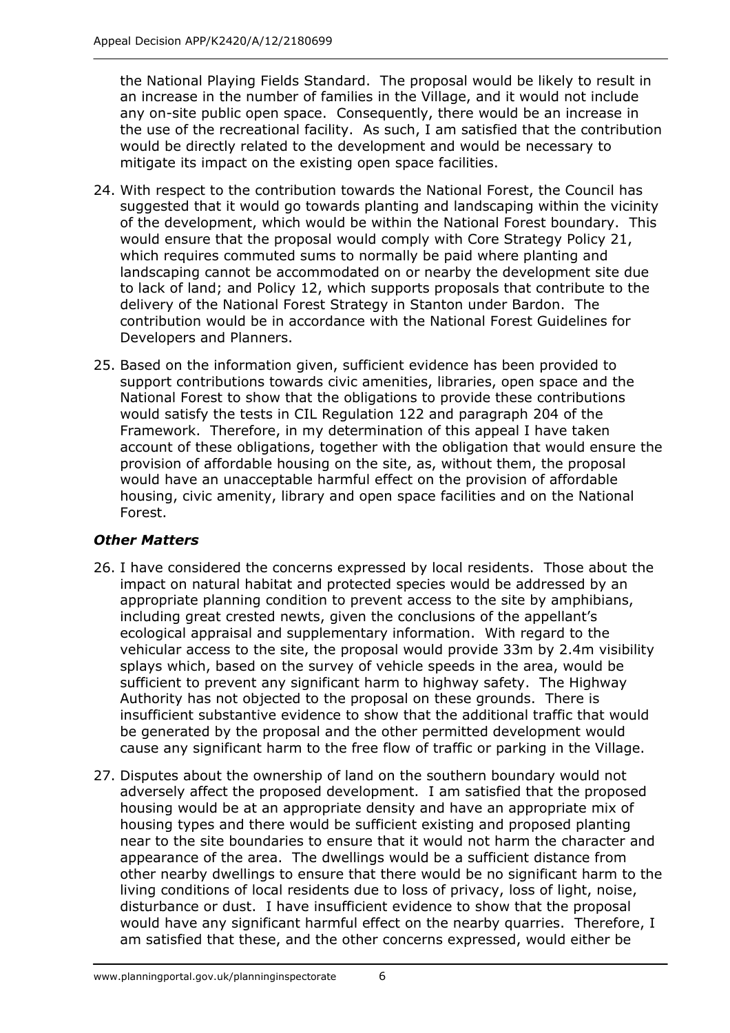the National Playing Fields Standard. The proposal would be likely to result in an increase in the number of families in the Village, and it would not include any on-site public open space. Consequently, there would be an increase in the use of the recreational facility. As such, I am satisfied that the contribution would be directly related to the development and would be necessary to mitigate its impact on the existing open space facilities.

- 24. With respect to the contribution towards the National Forest, the Council has suggested that it would go towards planting and landscaping within the vicinity of the development, which would be within the National Forest boundary. This would ensure that the proposal would comply with Core Strategy Policy 21, which requires commuted sums to normally be paid where planting and landscaping cannot be accommodated on or nearby the development site due to lack of land; and Policy 12, which supports proposals that contribute to the delivery of the National Forest Strategy in Stanton under Bardon. The contribution would be in accordance with the National Forest Guidelines for Developers and Planners.
- 25. Based on the information given, sufficient evidence has been provided to support contributions towards civic amenities, libraries, open space and the National Forest to show that the obligations to provide these contributions would satisfy the tests in CIL Regulation 122 and paragraph 204 of the Framework. Therefore, in my determination of this appeal I have taken account of these obligations, together with the obligation that would ensure the provision of affordable housing on the site, as, without them, the proposal would have an unacceptable harmful effect on the provision of affordable housing, civic amenity, library and open space facilities and on the National Forest.

### *Other Matters*

- 26. I have considered the concerns expressed by local residents. Those about the impact on natural habitat and protected species would be addressed by an appropriate planning condition to prevent access to the site by amphibians, including great crested newts, given the conclusions of the appellant's ecological appraisal and supplementary information. With regard to the vehicular access to the site, the proposal would provide 33m by 2.4m visibility splays which, based on the survey of vehicle speeds in the area, would be sufficient to prevent any significant harm to highway safety. The Highway Authority has not objected to the proposal on these grounds. There is insufficient substantive evidence to show that the additional traffic that would be generated by the proposal and the other permitted development would cause any significant harm to the free flow of traffic or parking in the Village.
- 27. Disputes about the ownership of land on the southern boundary would not adversely affect the proposed development. I am satisfied that the proposed housing would be at an appropriate density and have an appropriate mix of housing types and there would be sufficient existing and proposed planting near to the site boundaries to ensure that it would not harm the character and appearance of the area. The dwellings would be a sufficient distance from other nearby dwellings to ensure that there would be no significant harm to the living conditions of local residents due to loss of privacy, loss of light, noise, disturbance or dust. I have insufficient evidence to show that the proposal would have any significant harmful effect on the nearby quarries. Therefore, I am satisfied that these, and the other concerns expressed, would either be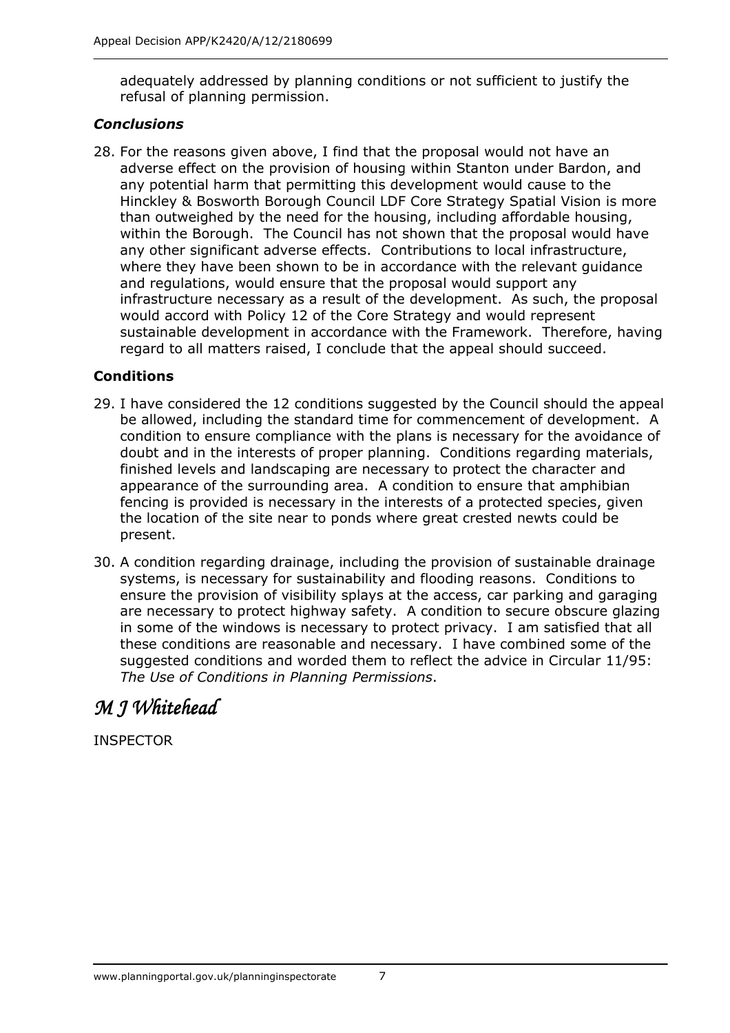adequately addressed by planning conditions or not sufficient to justify the refusal of planning permission.

### *Conclusions*

28. For the reasons given above, I find that the proposal would not have an adverse effect on the provision of housing within Stanton under Bardon, and any potential harm that permitting this development would cause to the Hinckley & Bosworth Borough Council LDF Core Strategy Spatial Vision is more than outweighed by the need for the housing, including affordable housing, within the Borough. The Council has not shown that the proposal would have any other significant adverse effects. Contributions to local infrastructure, where they have been shown to be in accordance with the relevant guidance and regulations, would ensure that the proposal would support any infrastructure necessary as a result of the development. As such, the proposal would accord with Policy 12 of the Core Strategy and would represent sustainable development in accordance with the Framework. Therefore, having regard to all matters raised, I conclude that the appeal should succeed.

### **Conditions**

- 29. I have considered the 12 conditions suggested by the Council should the appeal be allowed, including the standard time for commencement of development. A condition to ensure compliance with the plans is necessary for the avoidance of doubt and in the interests of proper planning. Conditions regarding materials, finished levels and landscaping are necessary to protect the character and appearance of the surrounding area. A condition to ensure that amphibian fencing is provided is necessary in the interests of a protected species, given the location of the site near to ponds where great crested newts could be present.
- 30. A condition regarding drainage, including the provision of sustainable drainage systems, is necessary for sustainability and flooding reasons. Conditions to ensure the provision of visibility splays at the access, car parking and garaging are necessary to protect highway safety. A condition to secure obscure glazing in some of the windows is necessary to protect privacy. I am satisfied that all these conditions are reasonable and necessary. I have combined some of the suggested conditions and worded them to reflect the advice in Circular 11/95: *The Use of Conditions in Planning Permissions*.

## *M J Whitehead*

INSPECTOR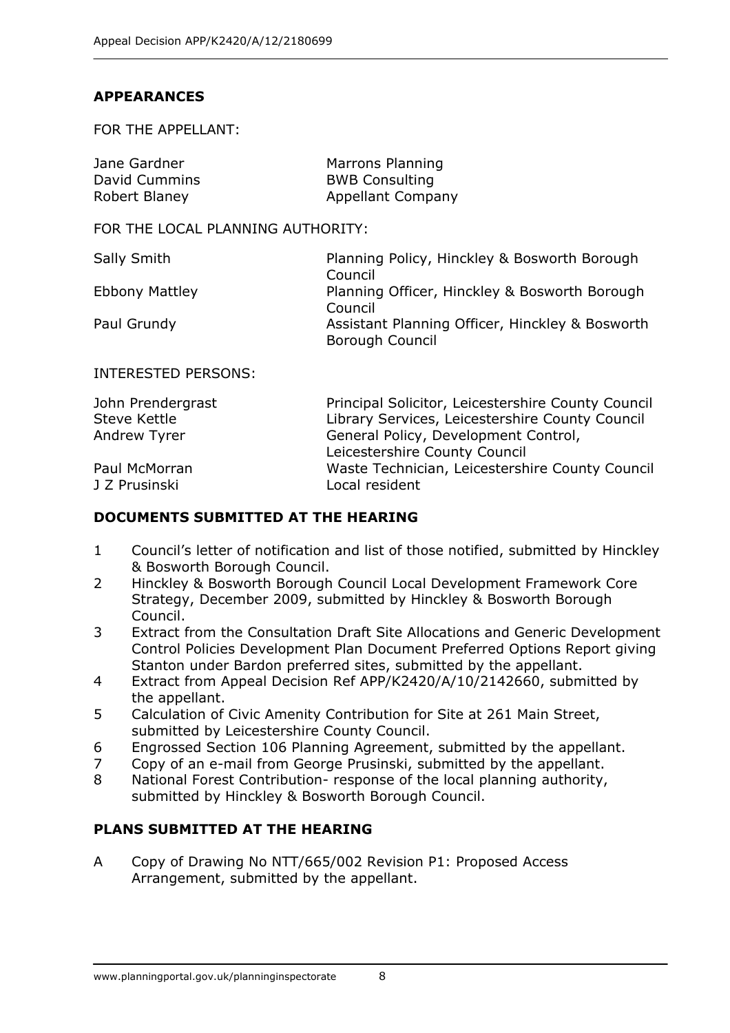### **APPEARANCES**

FOR THE APPELLANT:

| Jane Gardner  | Marrons Planning         |
|---------------|--------------------------|
| David Cummins | <b>BWB Consulting</b>    |
| Robert Blaney | <b>Appellant Company</b> |

FOR THE LOCAL PLANNING AUTHORITY:

| Sally Smith           | Planning Policy, Hinckley & Bosworth Borough    |
|-----------------------|-------------------------------------------------|
|                       | Council                                         |
| <b>Ebbony Mattley</b> | Planning Officer, Hinckley & Bosworth Borough   |
|                       | Council                                         |
| Paul Grundy           | Assistant Planning Officer, Hinckley & Bosworth |
|                       | Borough Council                                 |
|                       |                                                 |

#### INTERESTED PERSONS:

| Principal Solicitor, Leicestershire County Council |
|----------------------------------------------------|
| Library Services, Leicestershire County Council    |
| General Policy, Development Control,               |
| Leicestershire County Council                      |
| Waste Technician, Leicestershire County Council    |
| Local resident                                     |
|                                                    |

### **DOCUMENTS SUBMITTED AT THE HEARING**

- 1 Council's letter of notification and list of those notified, submitted by Hinckley & Bosworth Borough Council.
- 2 Hinckley & Bosworth Borough Council Local Development Framework Core Strategy, December 2009, submitted by Hinckley & Bosworth Borough Council.
- 3 Extract from the Consultation Draft Site Allocations and Generic Development Control Policies Development Plan Document Preferred Options Report giving Stanton under Bardon preferred sites, submitted by the appellant.
- 4 Extract from Appeal Decision Ref APP/K2420/A/10/2142660, submitted by the appellant.
- 5 Calculation of Civic Amenity Contribution for Site at 261 Main Street, submitted by Leicestershire County Council.
- 6 Engrossed Section 106 Planning Agreement, submitted by the appellant.
- 7 Copy of an e-mail from George Prusinski, submitted by the appellant.
- 8 National Forest Contribution- response of the local planning authority, submitted by Hinckley & Bosworth Borough Council.

### **PLANS SUBMITTED AT THE HEARING**

A Copy of Drawing No NTT/665/002 Revision P1: Proposed Access Arrangement, submitted by the appellant.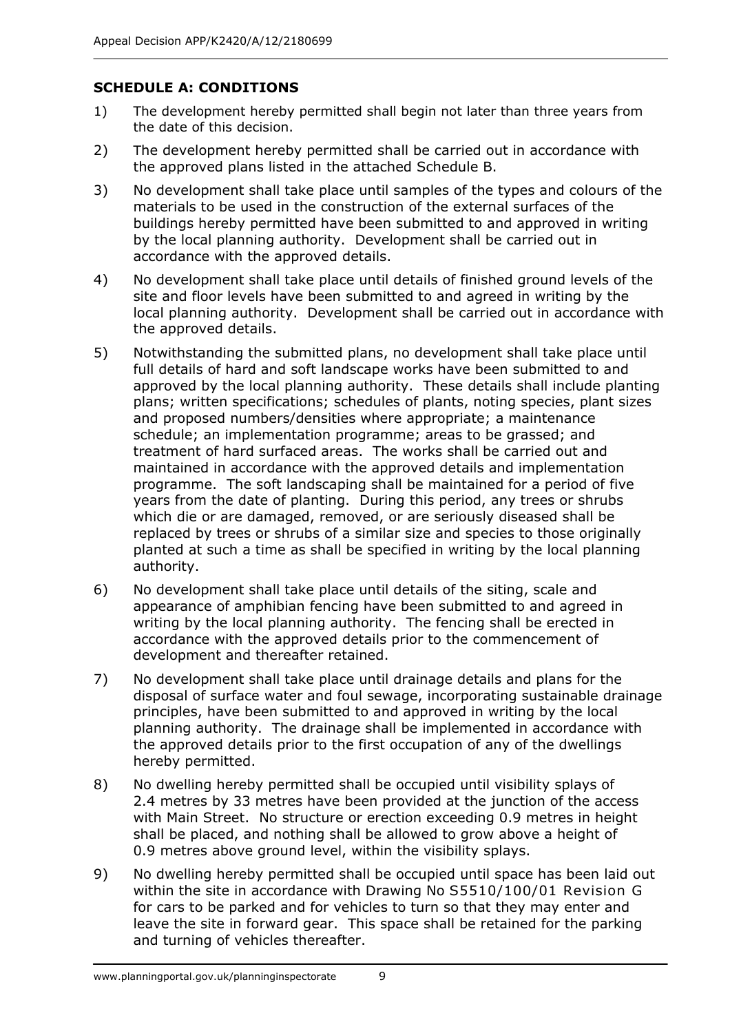### **SCHEDULE A: CONDITIONS**

- 1) The development hereby permitted shall begin not later than three years from the date of this decision.
- 2) The development hereby permitted shall be carried out in accordance with the approved plans listed in the attached Schedule B.
- 3) No development shall take place until samples of the types and colours of the materials to be used in the construction of the external surfaces of the buildings hereby permitted have been submitted to and approved in writing by the local planning authority. Development shall be carried out in accordance with the approved details.
- 4) No development shall take place until details of finished ground levels of the site and floor levels have been submitted to and agreed in writing by the local planning authority. Development shall be carried out in accordance with the approved details.
- 5) Notwithstanding the submitted plans, no development shall take place until full details of hard and soft landscape works have been submitted to and approved by the local planning authority. These details shall include planting plans; written specifications; schedules of plants, noting species, plant sizes and proposed numbers/densities where appropriate; a maintenance schedule; an implementation programme; areas to be grassed; and treatment of hard surfaced areas. The works shall be carried out and maintained in accordance with the approved details and implementation programme. The soft landscaping shall be maintained for a period of five years from the date of planting. During this period, any trees or shrubs which die or are damaged, removed, or are seriously diseased shall be replaced by trees or shrubs of a similar size and species to those originally planted at such a time as shall be specified in writing by the local planning authority.
- 6) No development shall take place until details of the siting, scale and appearance of amphibian fencing have been submitted to and agreed in writing by the local planning authority. The fencing shall be erected in accordance with the approved details prior to the commencement of development and thereafter retained.
- 7) No development shall take place until drainage details and plans for the disposal of surface water and foul sewage, incorporating sustainable drainage principles, have been submitted to and approved in writing by the local planning authority. The drainage shall be implemented in accordance with the approved details prior to the first occupation of any of the dwellings hereby permitted.
- 8) No dwelling hereby permitted shall be occupied until visibility splays of 2.4 metres by 33 metres have been provided at the junction of the access with Main Street. No structure or erection exceeding 0.9 metres in height shall be placed, and nothing shall be allowed to grow above a height of 0.9 metres above ground level, within the visibility splays.
- 9) No dwelling hereby permitted shall be occupied until space has been laid out within the site in accordance with Drawing No S5510/100/01 Revision G for cars to be parked and for vehicles to turn so that they may enter and leave the site in forward gear. This space shall be retained for the parking and turning of vehicles thereafter.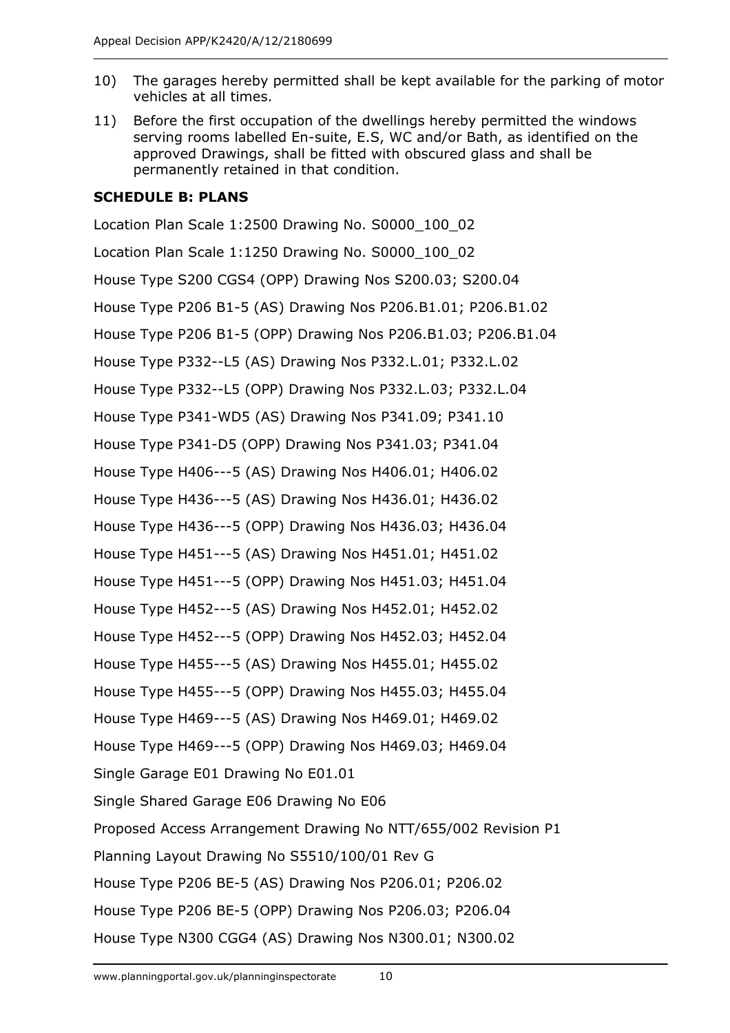- 10) The garages hereby permitted shall be kept available for the parking of motor vehicles at all times.
- 11) Before the first occupation of the dwellings hereby permitted the windows serving rooms labelled En-suite, E.S, WC and/or Bath, as identified on the approved Drawings, shall be fitted with obscured glass and shall be permanently retained in that condition.

### **SCHEDULE B: PLANS**

Location Plan Scale 1:2500 Drawing No. S0000\_100\_02 Location Plan Scale 1:1250 Drawing No. S0000\_100\_02 House Type S200 CGS4 (OPP) Drawing Nos S200.03; S200.04 House Type P206 B1-5 (AS) Drawing Nos P206.B1.01; P206.B1.02 House Type P206 B1-5 (OPP) Drawing Nos P206.B1.03; P206.B1.04 House Type P332--L5 (AS) Drawing Nos P332.L.01; P332.L.02 House Type P332--L5 (OPP) Drawing Nos P332.L.03; P332.L.04 House Type P341-WD5 (AS) Drawing Nos P341.09; P341.10 House Type P341-D5 (OPP) Drawing Nos P341.03; P341.04 House Type H406---5 (AS) Drawing Nos H406.01; H406.02 House Type H436---5 (AS) Drawing Nos H436.01; H436.02 House Type H436---5 (OPP) Drawing Nos H436.03; H436.04 House Type H451---5 (AS) Drawing Nos H451.01; H451.02 House Type H451---5 (OPP) Drawing Nos H451.03; H451.04 House Type H452---5 (AS) Drawing Nos H452.01; H452.02 House Type H452---5 (OPP) Drawing Nos H452.03; H452.04 House Type H455---5 (AS) Drawing Nos H455.01; H455.02 House Type H455---5 (OPP) Drawing Nos H455.03; H455.04 House Type H469---5 (AS) Drawing Nos H469.01; H469.02 House Type H469---5 (OPP) Drawing Nos H469.03; H469.04 Single Garage E01 Drawing No E01.01 Single Shared Garage E06 Drawing No E06 Proposed Access Arrangement Drawing No NTT/655/002 Revision P1 Planning Layout Drawing No S5510/100/01 Rev G House Type P206 BE-5 (AS) Drawing Nos P206.01; P206.02 House Type P206 BE-5 (OPP) Drawing Nos P206.03; P206.04 House Type N300 CGG4 (AS) Drawing Nos N300.01; N300.02